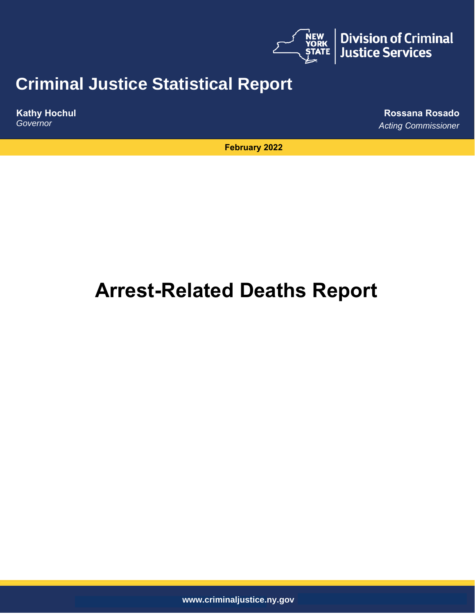

# **Criminal Justice Statistical Report**

**Kathy Hochul** *Governor* 

**Rossana Rosado** *Acting Commissioner* 

**February 2022**

# **Arrest-Related Deaths Report**

**www.criminaljustice.ny.gov**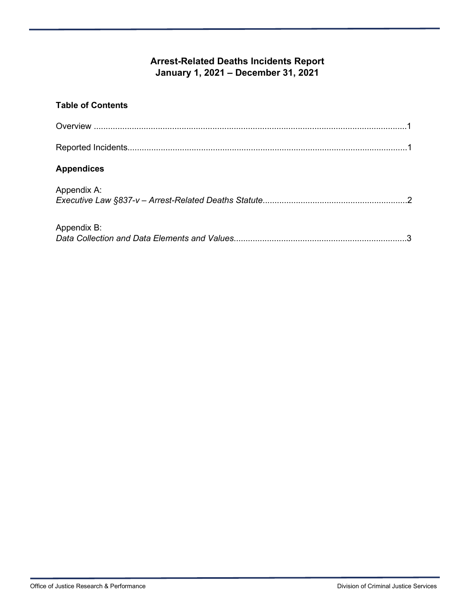# **Arrest-Related Deaths Incidents Report January 1, 2021 – December 31, 2021**

| <b>Table of Contents</b> |  |
|--------------------------|--|
|                          |  |
|                          |  |
| <b>Appendices</b>        |  |
| Appendix A:              |  |

| Appendix B: |  |
|-------------|--|
|             |  |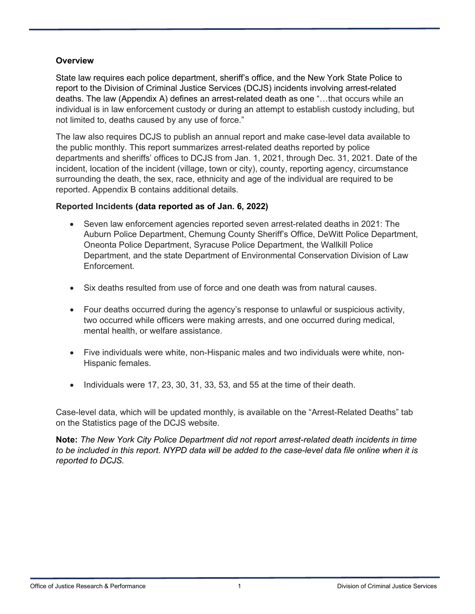#### **Overview**

State law requires each police department, sheriff's office, and the New York State Police to report to the Division of Criminal Justice Services (DCJS) incidents involving arrest-related deaths. The law (Appendix A) defines an arrest-related death as one "…that occurs while an individual is in law enforcement custody or during an attempt to establish custody including, but not limited to, deaths caused by any use of force."

The law also requires DCJS to publish an annual report and make case-level data available to the public monthly. This report summarizes arrest-related deaths reported by police departments and sheriffs' offices to DCJS from Jan. 1, 2021, through Dec. 31, 2021. Date of the incident, location of the incident (village, town or city), county, reporting agency, circumstance surrounding the death, the sex, race, ethnicity and age of the individual are required to be reported. Appendix B contains additional details.

#### **Reported Incidents (data reported as of Jan. 6, 2022)**

- Seven law enforcement agencies reported seven arrest-related deaths in 2021: The Auburn Police Department, Chemung County Sheriff's Office, DeWitt Police Department, Oneonta Police Department, Syracuse Police Department, the Wallkill Police Department, and the state Department of Environmental Conservation Division of Law Enforcement.
- Six deaths resulted from use of force and one death was from natural causes.
- Four deaths occurred during the agency's response to unlawful or suspicious activity, two occurred while officers were making arrests, and one occurred during medical, mental health, or welfare assistance.
- Five individuals were white, non-Hispanic males and two individuals were white, non-Hispanic females.
- Individuals were 17, 23, 30, 31, 33, 53, and 55 at the time of their death.

Case-level data, which will be updated monthly, is available on the "Arrest-Related Deaths" tab on the Statistics page of the DCJS website.

**Note:** *The New York City Police Department did not report arrest-related death incidents in time to be included in this report. NYPD data will be added to the case-level data file online when it is reported to DCJS.*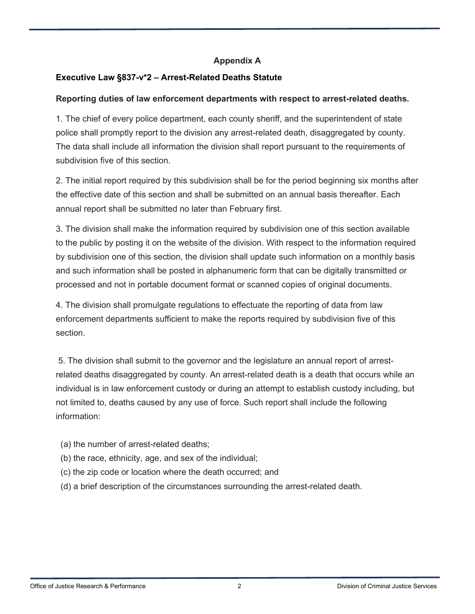#### **Appendix A**

### **Executive Law §837-v\*2 – Arrest-Related Deaths Statute**

#### **Reporting duties of law enforcement departments with respect to arrest-related deaths.**

1. The chief of every police department, each county sheriff, and the superintendent of state police shall promptly report to the division any arrest-related death, disaggregated by county. The data shall include all information the division shall report pursuant to the requirements of subdivision five of this section.

2. The initial report required by this subdivision shall be for the period beginning six months after the effective date of this section and shall be submitted on an annual basis thereafter. Each annual report shall be submitted no later than February first.

3. The division shall make the information required by subdivision one of this section available to the public by posting it on the website of the division. With respect to the information required by subdivision one of this section, the division shall update such information on a monthly basis and such information shall be posted in alphanumeric form that can be digitally transmitted or processed and not in portable document format or scanned copies of original documents.

4. The division shall promulgate regulations to effectuate the reporting of data from law enforcement departments sufficient to make the reports required by subdivision five of this section.

5. The division shall submit to the governor and the legislature an annual report of arrestrelated deaths disaggregated by county. An arrest-related death is a death that occurs while an individual is in law enforcement custody or during an attempt to establish custody including, but not limited to, deaths caused by any use of force. Such report shall include the following information:

(a) the number of arrest-related deaths;

- (b) the race, ethnicity, age, and sex of the individual;
- (c) the zip code or location where the death occurred; and
- (d) a brief description of the circumstances surrounding the arrest-related death.